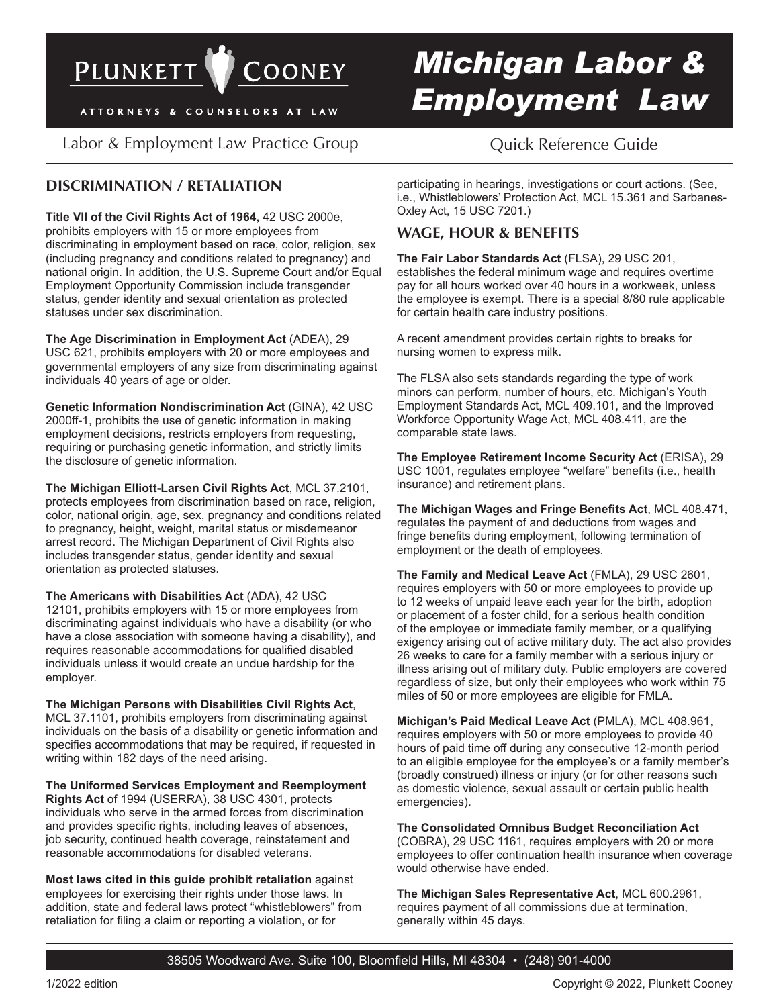

ATTORNEYS & COUNSELORS AT LAW

Labor & Employment Law Practice Group Cuick Reference Guide

# **DISCRIMINATION / RETALIATION**

**Title VII of the Civil Rights Act of 1964,** 42 USC 2000e, prohibits employers with 15 or more employees from discriminating in employment based on race, color, religion, sex (including pregnancy and conditions related to pregnancy) and national origin. In addition, the U.S. Supreme Court and/or Equal Employment Opportunity Commission include transgender status, gender identity and sexual orientation as protected statuses under sex discrimination.

**The Age Discrimination in Employment Act** (ADEA), 29 USC 621, prohibits employers with 20 or more employees and governmental employers of any size from discriminating against individuals 40 years of age or older.

**Genetic Information Nondiscrimination Act** (GINA), 42 USC 2000ff-1, prohibits the use of genetic information in making employment decisions, restricts employers from requesting, requiring or purchasing genetic information, and strictly limits the disclosure of genetic information.

**The Michigan Elliott-Larsen Civil Rights Act**, MCL 37.2101, protects employees from discrimination based on race, religion, color, national origin, age, sex, pregnancy and conditions related to pregnancy, height, weight, marital status or misdemeanor arrest record. The Michigan Department of Civil Rights also includes transgender status, gender identity and sexual orientation as protected statuses.

**The Americans with Disabilities Act** (ADA), 42 USC 12101, prohibits employers with 15 or more employees from discriminating against individuals who have a disability (or who have a close association with someone having a disability), and requires reasonable accommodations for qualified disabled individuals unless it would create an undue hardship for the employer.

**The Michigan Persons with Disabilities Civil Rights Act**, MCL 37.1101, prohibits employers from discriminating against individuals on the basis of a disability or genetic information and specifies accommodations that may be required, if requested in writing within 182 days of the need arising.

**The Uniformed Services Employment and Reemployment Rights Act** of 1994 (USERRA), 38 USC 4301, protects individuals who serve in the armed forces from discrimination and provides specific rights, including leaves of absences, job security, continued health coverage, reinstatement and reasonable accommodations for disabled veterans.

**Most laws cited in this guide prohibit retaliation** against employees for exercising their rights under those laws. In addition, state and federal laws protect "whistleblowers" from retaliation for filing a claim or reporting a violation, or for

# *Michigan Labor & Employment Law*

participating in hearings, investigations or court actions. (See, i.e., Whistleblowers' Protection Act, MCL 15.361 and Sarbanes-Oxley Act, 15 USC 7201.)

# **WAGE, HOUR & BENEFITS**

**The Fair Labor Standards Act** (FLSA), 29 USC 201, establishes the federal minimum wage and requires overtime pay for all hours worked over 40 hours in a workweek, unless the employee is exempt. There is a special 8/80 rule applicable for certain health care industry positions.

A recent amendment provides certain rights to breaks for nursing women to express milk.

The FLSA also sets standards regarding the type of work minors can perform, number of hours, etc. Michigan's Youth Employment Standards Act, MCL 409.101, and the Improved Workforce Opportunity Wage Act, MCL 408.411, are the comparable state laws.

**The Employee Retirement Income Security Act** (ERISA), 29 USC 1001, regulates employee "welfare" benefits (i.e., health insurance) and retirement plans.

The Michigan Wages and Fringe Benefits Act, MCL 408.471, regulates the payment of and deductions from wages and fringe benefits during employment, following termination of employment or the death of employees.

**The Family and Medical Leave Act** (FMLA), 29 USC 2601, requires employers with 50 or more employees to provide up to 12 weeks of unpaid leave each year for the birth, adoption or placement of a foster child, for a serious health condition of the employee or immediate family member, or a qualifying exigency arising out of active military duty. The act also provides 26 weeks to care for a family member with a serious injury or illness arising out of military duty. Public employers are covered regardless of size, but only their employees who work within 75 miles of 50 or more employees are eligible for FMLA.

**Michigan's Paid Medical Leave Act** (PMLA), MCL 408.961, requires employers with 50 or more employees to provide 40 hours of paid time off during any consecutive 12-month period to an eligible employee for the employee's or a family member's (broadly construed) illness or injury (or for other reasons such as domestic violence, sexual assault or certain public health emergencies).

**The Consolidated Omnibus Budget Reconciliation Act** (COBRA), 29 USC 1161, requires employers with 20 or more employees to offer continuation health insurance when coverage would otherwise have ended.

**The Michigan Sales Representative Act**, MCL 600.2961, requires payment of all commissions due at termination, generally within 45 days.

38505 Woodward Ave. Suite 100, Bloomfield Hills, MI 48304 • (248) 901-4000